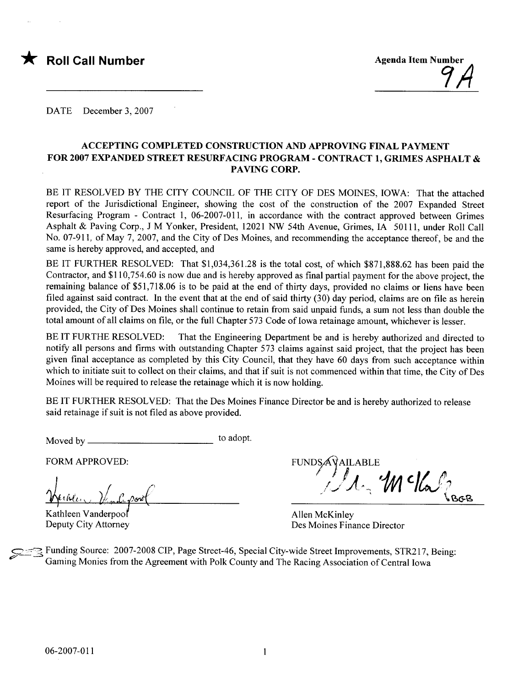



DATE December 3, 2007

#### ACCEPTING COMPLETED CONSTRUCTION AND APPROVING FINAL PAYMENT FOR 2007 EXPANDED STREET RESURFACING PROGRAM - CONTRACT 1, GRIMES ASPHALT & PAVING CORP.

BE IT RESOLVED BY THE CITY COUNCIL OF THE CITY OF DES MOINES, IOWA: That the attached report of the Jurisdictional Engineer, showing the cost of the construction of the 2007 Expanded Street Resurfacing Program - Contract 1, 06-2007-011, in accordance with the contract approved between Grimes Asphalt & Paving Corp., J M Yonker, President, 12021 NW 54th Avenue, Grimes, IA 50111, under Roll Call No. 07-911, of May 7, 2007, and the City of Des Moines, and recommending the acceptance thereof, be and the same is hereby approved, and accepted, and

BE IT FURTHER RESOLVED: That \$1,034,361.28 is the total cost, of which \$871,888.62 has been paid the Contractor, and \$110,754.60 is now due and is hereby approved as final partial payment for the above project, the remaining balance of \$51,718.06 is to be paid at the end of thirty days, provided no claims or liens have been filed against said contract. In the event that at the end of said thirty  $(30)$  day period, claims are on file as herein provided, the City of Des Moines shall continue to retain from said unpaid funds, a sum not less than double the total amount of all claims on fie, or the full Chapter 573 Code of Iowa retainage amount, whichever is lesser.

BE IT FURTHE RESOLVED: That the Engineering Department be and is hereby authorized and directed to notify all persons and firms with outstanding Chapter 573 claims against said project, that the project has been given final acceptance as completed by this City Council, that they have 60 days from such acceptance within which to initiate suit to collect on their claims, and that if suit is not commenced within that time, the City of Des Moines will be required to release the retainage which it is now holding.

BE IT FURTHER RESOLVED: That the Des Moines Finance Director be and is hereby authorized to release said retainage if suit is not fied as above provided.

Moved by to adopt.

FORM APPROVED:

 $th \ell \alpha_{\rm V}$ 

Kathleen Vanderpoo Deputy City Attorney

FUNDS  $\iota$ ,  $\mathcal{M}$  c/a,  $\iota_{\mathsf{b}\in\mathbb{R}}$ 

Allen McKinley Des Moines Finance Director

Funding Source: 2007-2008 CIP, Page Street-46, Special City-wide Street Improvements, STR217, Being: Gaming Monies from the Agreement with Polk County and The Racing Association of Central Iowa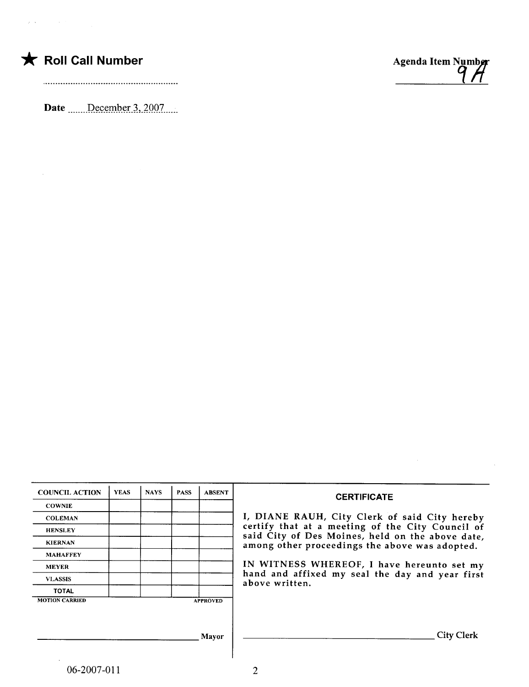$\sim$ 

Date December 3, 2007



 $\bar{\lambda}$ 

| <b>COUNCIL ACTION</b> | <b>YEAS</b> | <b>NAYS</b> | <b>PASS</b> | <b>ABSENT</b>   | <b>CERTIFICATE</b>                                                                                 |
|-----------------------|-------------|-------------|-------------|-----------------|----------------------------------------------------------------------------------------------------|
| <b>COWNIE</b>         |             |             |             |                 |                                                                                                    |
| <b>COLEMAN</b>        |             |             |             |                 | I, DIANE RAUH, City Clerk of said City hereby                                                      |
| <b>HENSLEY</b>        |             |             |             |                 | certify that at a meeting of the City Council of                                                   |
| <b>KIERNAN</b>        |             |             |             |                 | said City of Des Moines, held on the above date,<br>among other proceedings the above was adopted. |
| <b>MAHAFFEY</b>       |             |             |             |                 |                                                                                                    |
| <b>MEYER</b>          |             |             |             |                 | IN WITNESS WHEREOF, I have hereunto set my                                                         |
| <b>VLASSIS</b>        |             |             |             |                 | hand and affixed my seal the day and year first<br>above written.                                  |
| <b>TOTAL</b>          |             |             |             |                 |                                                                                                    |
| <b>MOTION CARRIED</b> |             |             |             | <b>APPROVED</b> |                                                                                                    |
|                       |             |             |             |                 |                                                                                                    |
|                       |             |             |             | Mayor           | <b>City Clerk</b>                                                                                  |
|                       |             |             |             |                 |                                                                                                    |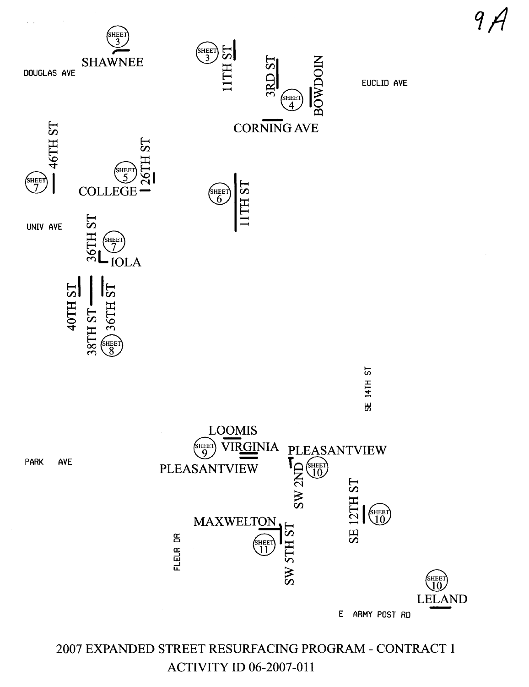

2007 EXPANDED STREET RESURFACING PROGRAM - CONTRACT 1 ACTIVITY ID 06-2007-011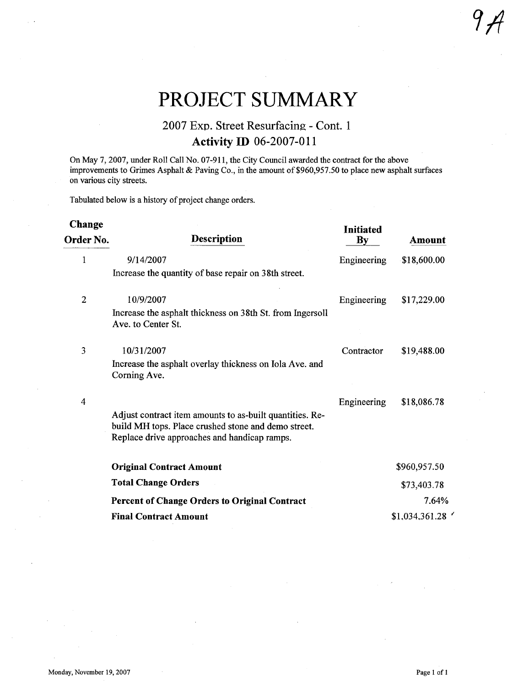# PROJECT SUMMARY

# 2007 Exp. Street Resurfacing - Cont. 1 **Activity ID 06-2007-011**

On May 7, 2007, under Roll Call No. 07-911, the City Council awarded the contract for the above improvements to Grimes Asphalt & Paving Co., in the amount of \$960,957.50 to place new asphalt surfaces on various city streets.

Tabulated below is a history of project change orders.

| Change<br>Order No. | <b>Description</b>                                                                                                                                              | <b>Initiated</b><br>$\mathbf{B}\mathbf{v}$ | Amount         |
|---------------------|-----------------------------------------------------------------------------------------------------------------------------------------------------------------|--------------------------------------------|----------------|
| 1                   | 9/14/2007<br>Increase the quantity of base repair on 38th street.                                                                                               | Engineering                                | \$18,600.00    |
| 2                   | 10/9/2007<br>Increase the asphalt thickness on 38th St. from Ingersoll<br>Ave. to Center St.                                                                    | Engineering                                | \$17,229.00    |
| 3                   | 10/31/2007<br>Increase the asphalt overlay thickness on Iola Ave. and<br>Corning Ave.                                                                           | Contractor                                 | \$19,488.00    |
| $\overline{4}$      | Adjust contract item amounts to as-built quantities. Re-<br>build MH tops. Place crushed stone and demo street.<br>Replace drive approaches and handicap ramps. | Engineering                                | \$18,086.78    |
|                     | <b>Original Contract Amount</b>                                                                                                                                 |                                            | \$960,957.50   |
|                     | <b>Total Change Orders</b>                                                                                                                                      |                                            | \$73,403.78    |
|                     | <b>Percent of Change Orders to Original Contract</b>                                                                                                            |                                            | 7.64%          |
|                     | <b>Final Contract Amount</b>                                                                                                                                    |                                            | \$1,034,361.28 |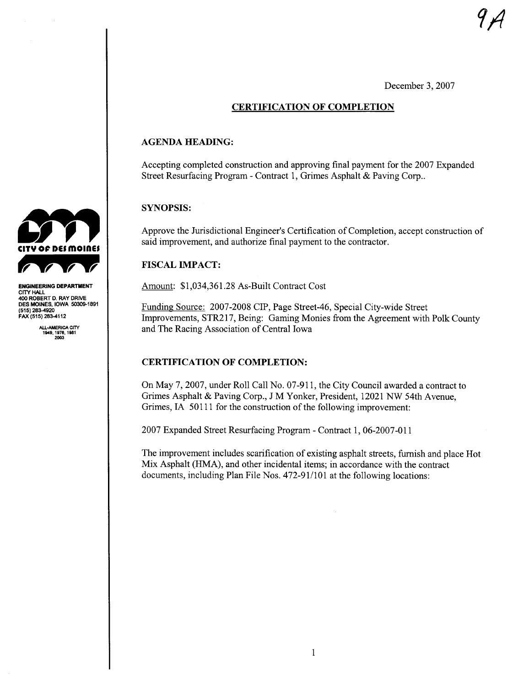December 3, 2007

# CERTIFICATION OF COMPLETION

### AGENDA HEADING:

Accepting completed construction and approving final payment for the 2007 Expanded Street Resurfacing Program - Contract 1, Grimes Asphalt & Paving Corp..

# SYNOPSIS:

Approve the Jurisdictional Engineer's Certification of Completion, accept construction of said improvement, and authorize final payment to the contractor.

# FISCAL IMPACT:

Amount: \$1,034,361.28 As-Built Contract Cost

Funding Source: 2007-2008 CIP, Page Street-46, Special City-wide Street Improvements, STR217, Being: Gaming Monies from the Agreement with Polk County and The Racing Association of Central Iowa

# CERTIFICATION OF COMPLETION:

On May 7, 2007, under Roll Call No. 07-911, the City Council awarded a contract to Grimes Asphalt & Paving Corp., J M Yonker, President, 12021 NW 54th Avenue, Grimes, IA 50111 for the construction of the following improvement:

2007 Expanded Street Resurfacing Program - Contract 1, 06-2007-011

The improvement includes scarification of existing asphalt streets, furnish and place Hot Mix Asphalt (HMA), and other incidental items; in accordance with the contract documents, including Plan File Nos. 472-91/101 at the following locations:



ENGINEERING DEPARTMENT CITY HAL 400 ROBERT D. RAY DRIVE DES MOINES, IOWA 50309-1891<br>(515) 283-4920 FAX (515) 283-4112

ALL-AMERICA CITY<br>1949, 1976, 1981<br>2003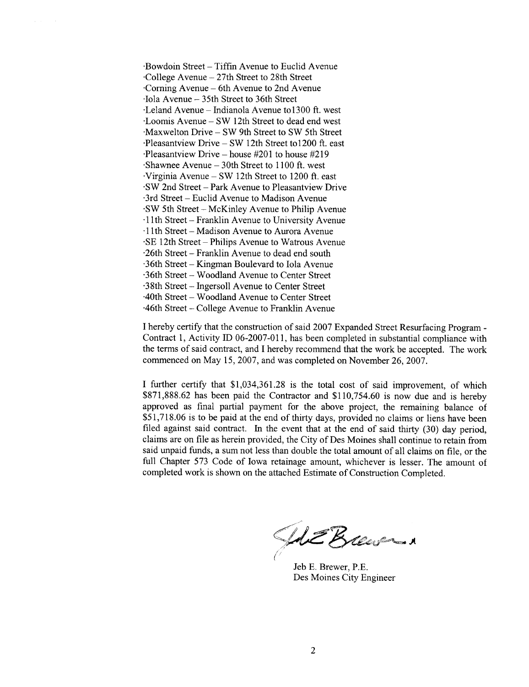.Bowdoin Street - Tiffin Avenue to Euclid Avenue 'College Avenue - 27th Street to 28th Street 'Corning Avenue - 6th Avenue to 2nd Avenue 'Iola Avenue - 35th Street to 36th Street -Leland Avenue - Indianola Avenue to1300 ft. west -Loomis Avenue - SW 12th Street to dead end west 'Maxwelton Drive - SW 9th Street to SW 5th Street 'Pleasantview Drive - SW 12th Street to1200 ft. east 'Pleasantview Drive - house #201 to house #219 'Shawnee Avenue - 30th Street to 1100 ft. west Virginia Avenue - SW 12th Street to 1200 ft. east 'SW 2nd Street - Park Avenue to Pleasantview Drive '3rd Street - Euclid Avenue to Madison Avenue 'SW 5th Street-McKinley Avenue to Philip Avenue .11 th Street - Franklin Avenue to University Avenue .11 th Street - Madison Avenue to Aurora Avenue . SE 12th Street - Philips Avenue to Watrous Avenue .26th Street - Franklin Avenue to dead end south  $-36$ th Street – Kingman Boulevard to Iola Avenue .36th Street - Woodland Avenue to Center Street .38th Street - Ingersoll Avenue to Center Street AOth Street - W oodland Avenue to Center Street A6th Street - College Avenue to Franklin Avenue

I hereby certify that the construction of said 2007 Expanded Street Resurfacing Program -Contract 1, Activity ID 06-2007-011, has been completed in substantial compliance with the terms of said contract, and I hereby recommend that the work be accepted. The work commenced on May 15,2007, and was completed on November 26,2007.

I further certify that \$1,034,361.28 is the total cost of said improvement, of which \$871,888.62 has been paid the Contractor and \$110,754.60 is now due and is hereby approved as final partial payment for the above project, the remaining balance of \$51,718.06 is to be paid at the end of thirty days, provided no claims or liens have been filed against said contract. In the event that at the end of said thirty  $(30)$  day period, claims are on fie as herein provided, the City of Des Moines shall continue to retain from said unpaid funds, a sum not less than double the total amount of all claims on fie, or the full Chapter 573 Code of Iowa retainage amount, whichever is lesser. The amount of completed work is shown on the attached Estimate of Construction Completed.

She Breason (WEBU

Jeb E. Brewer, P.E. Des Moines City Engineer